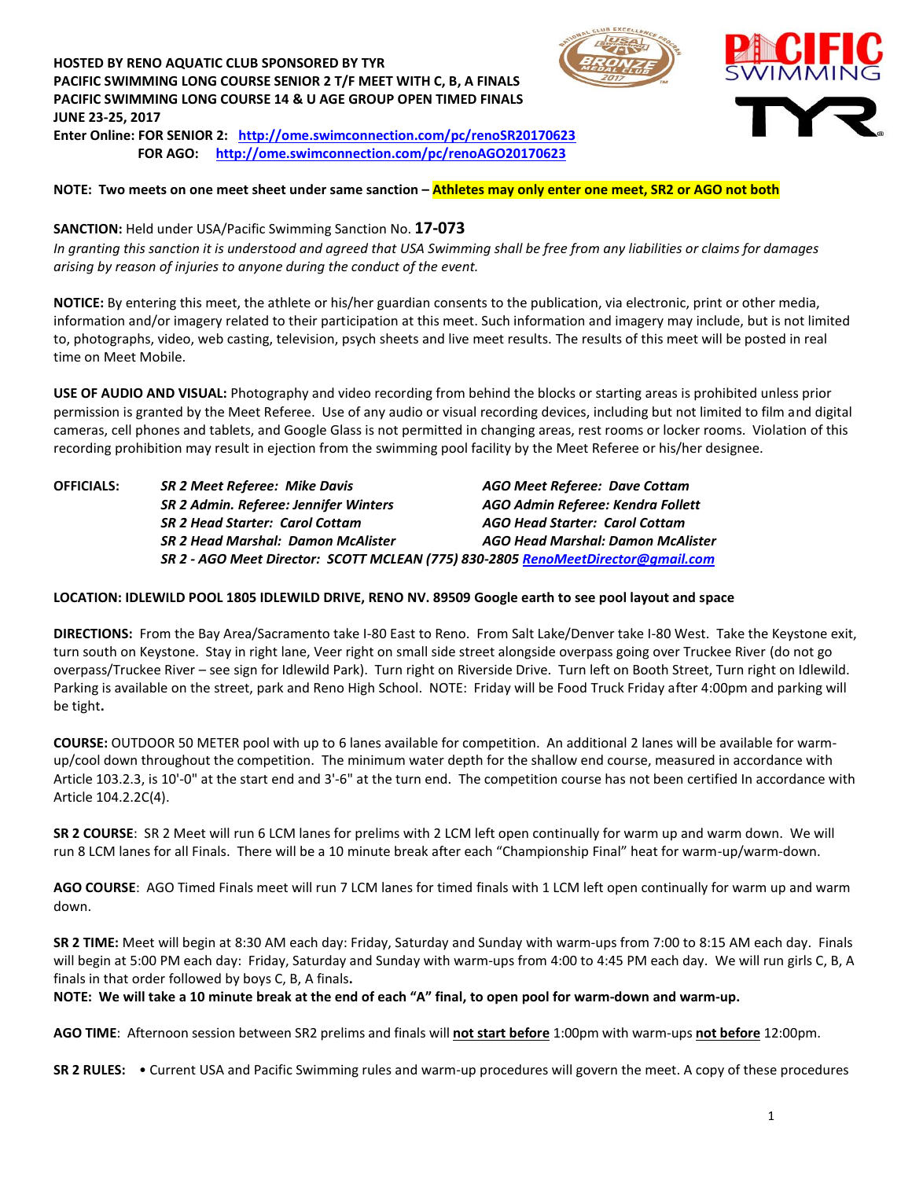## **HOSTED BY RENO AQUATIC CLUB SPONSORED BY TYR PACIFIC SWIMMING LONG COURSE SENIOR 2 T/F MEET WITH C, B, A FINALS PACIFIC SWIMMING LONG COURSE 14 & U AGE GROUP OPEN TIMED FINALS JUNE 23-25, 2017**



#### **NOTE: Two meets on one meet sheet under same sanction – Athletes may only enter one meet, SR2 or AGO not both**

**SANCTION:** Held under USA/Pacific Swimming Sanction No. **17-073** *In granting this sanction it is understood and agreed that USA Swimming shall be free from any liabilities or claims for damages arising by reason of injuries to anyone during the conduct of the event.*

**NOTICE:** By entering this meet, the athlete or his/her guardian consents to the publication, via electronic, print or other media, information and/or imagery related to their participation at this meet. Such information and imagery may include, but is not limited to, photographs, video, web casting, television, psych sheets and live meet results. The results of this meet will be posted in real time on Meet Mobile.

**USE OF AUDIO AND VISUAL:** Photography and video recording from behind the blocks or starting areas is prohibited unless prior permission is granted by the Meet Referee. Use of any audio or visual recording devices, including but not limited to film and digital cameras, cell phones and tablets, and Google Glass is not permitted in changing areas, rest rooms or locker rooms. Violation of this recording prohibition may result in ejection from the swimming pool facility by the Meet Referee or his/her designee.

**OFFICIALS:** *SR 2 Meet Referee: Mike Davis AGO Meet Referee: Dave Cottam SR 2 Admin. Referee: Jennifer Winters AGO Admin Referee: Kendra Follett SR 2 Head Starter: Carol Cottam AGO Head Starter: Carol Cottam SR 2 Head Marshal: Damon McAlister AGO Head Marshal: Damon McAlister SR 2 - AGO Meet Director: SCOTT MCLEAN (775) 830-2805 [RenoMeetDirector@gmail.com](mailto:RenoMeetDirector@gmail.com)*

#### **LOCATION: IDLEWILD POOL 1805 IDLEWILD DRIVE, RENO NV. 89509 Google earth to see pool layout and space**

**DIRECTIONS:** From the Bay Area/Sacramento take I-80 East to Reno. From Salt Lake/Denver take I-80 West. Take the Keystone exit, turn south on Keystone. Stay in right lane, Veer right on small side street alongside overpass going over Truckee River (do not go overpass/Truckee River – see sign for Idlewild Park). Turn right on Riverside Drive. Turn left on Booth Street, Turn right on Idlewild. Parking is available on the street, park and Reno High School. NOTE: Friday will be Food Truck Friday after 4:00pm and parking will be tight**.**

**COURSE:** OUTDOOR 50 METER pool with up to 6 lanes available for competition. An additional 2 lanes will be available for warmup/cool down throughout the competition. The minimum water depth for the shallow end course, measured in accordance with Article 103.2.3, is 10'-0" at the start end and 3'-6" at the turn end. The competition course has not been certified In accordance with Article 104.2.2C(4).

**SR 2 COURSE**: SR 2 Meet will run 6 LCM lanes for prelims with 2 LCM left open continually for warm up and warm down. We will run 8 LCM lanes for all Finals. There will be a 10 minute break after each "Championship Final" heat for warm-up/warm-down.

**AGO COURSE**: AGO Timed Finals meet will run 7 LCM lanes for timed finals with 1 LCM left open continually for warm up and warm down.

**SR 2 TIME:** Meet will begin at 8:30 AM each day: Friday, Saturday and Sunday with warm-ups from 7:00 to 8:15 AM each day. Finals will begin at 5:00 PM each day: Friday, Saturday and Sunday with warm-ups from 4:00 to 4:45 PM each day. We will run girls C, B, A finals in that order followed by boys C, B, A finals**.** 

**NOTE: We will take a 10 minute break at the end of each "A" final, to open pool for warm-down and warm-up.**

**AGO TIME**: Afternoon session between SR2 prelims and finals will **not start before** 1:00pm with warm-ups **not before** 12:00pm.

**SR 2 RULES:** • Current USA and Pacific Swimming rules and warm-up procedures will govern the meet. A copy of these procedures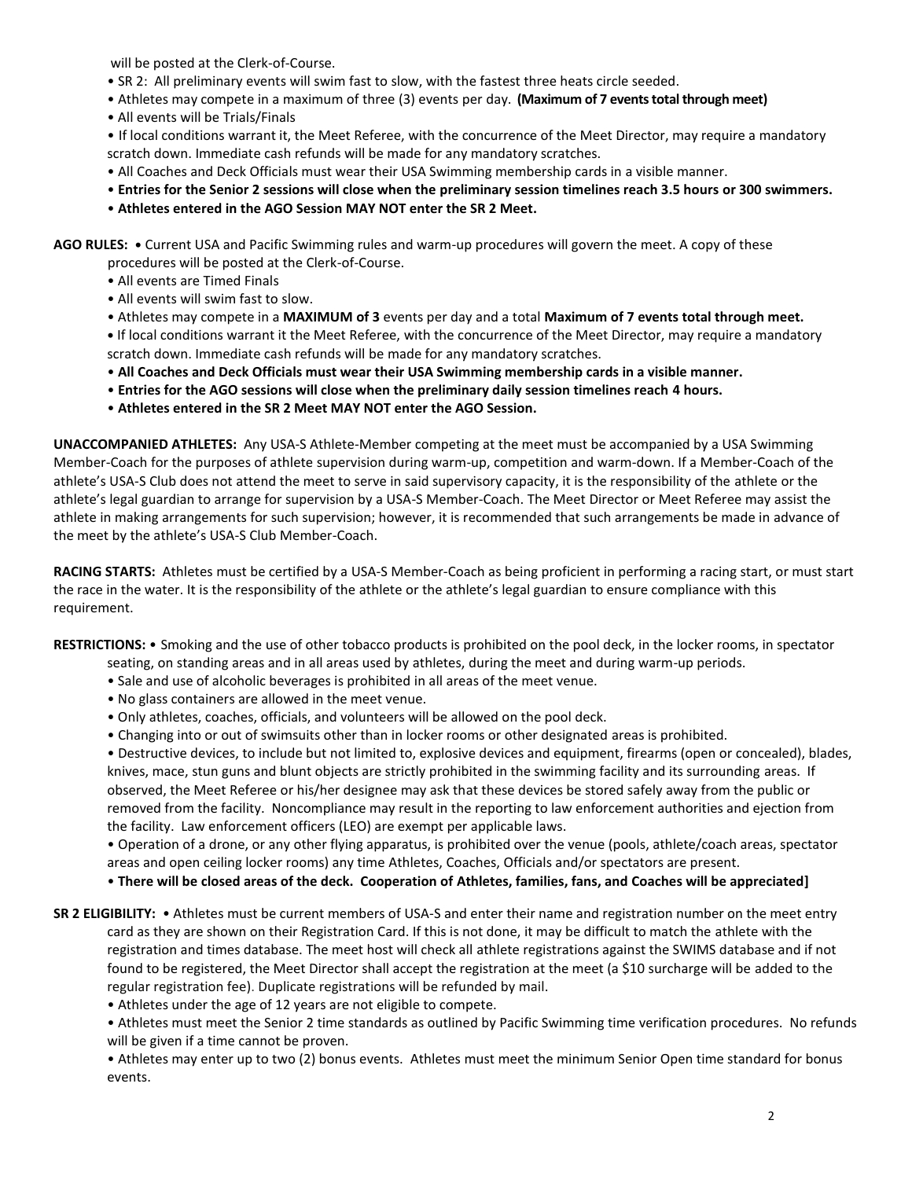will be posted at the Clerk-of-Course.

- SR 2: All preliminary events will swim fast to slow, with the fastest three heats circle seeded.
- Athletes may compete in a maximum of three (3) events per day. **(Maximum of 7 events total through meet)**
- All events will be Trials/Finals

• If local conditions warrant it, the Meet Referee, with the concurrence of the Meet Director, may require a mandatory scratch down. Immediate cash refunds will be made for any mandatory scratches.

- All Coaches and Deck Officials must wear their USA Swimming membership cards in a visible manner.
- **Entries for the Senior 2 sessions will close when the preliminary session timelines reach 3.5 hours or 300 swimmers.**
- **Athletes entered in the AGO Session MAY NOT enter the SR 2 Meet.**

**AGO RULES: •** Current USA and Pacific Swimming rules and warm-up procedures will govern the meet. A copy of these

- procedures will be posted at the Clerk-of-Course.
- All events are Timed Finals
- All events will swim fast to slow.
- Athletes may compete in a **MAXIMUM of 3** events per day and a total **Maximum of 7 events total through meet.**

**•** If local conditions warrant it the Meet Referee, with the concurrence of the Meet Director, may require a mandatory scratch down. Immediate cash refunds will be made for any mandatory scratches.

- **All Coaches and Deck Officials must wear their USA Swimming membership cards in a visible manner.**
- **Entries for the AGO sessions will close when the preliminary daily session timelines reach 4 hours.**
- **Athletes entered in the SR 2 Meet MAY NOT enter the AGO Session.**

**UNACCOMPANIED ATHLETES:** Any USA-S Athlete-Member competing at the meet must be accompanied by a USA Swimming Member-Coach for the purposes of athlete supervision during warm-up, competition and warm-down. If a Member-Coach of the athlete's USA-S Club does not attend the meet to serve in said supervisory capacity, it is the responsibility of the athlete or the athlete's legal guardian to arrange for supervision by a USA-S Member-Coach. The Meet Director or Meet Referee may assist the athlete in making arrangements for such supervision; however, it is recommended that such arrangements be made in advance of the meet by the athlete's USA-S Club Member-Coach.

**RACING STARTS:** Athletes must be certified by a USA-S Member-Coach as being proficient in performing a racing start, or must start the race in the water. It is the responsibility of the athlete or the athlete's legal guardian to ensure compliance with this requirement.

**RESTRICTIONS:** • Smoking and the use of other tobacco products is prohibited on the pool deck, in the locker rooms, in spectator

- seating, on standing areas and in all areas used by athletes, during the meet and during warm-up periods.
- Sale and use of alcoholic beverages is prohibited in all areas of the meet venue.
- No glass containers are allowed in the meet venue.
- Only athletes, coaches, officials, and volunteers will be allowed on the pool deck.
- Changing into or out of swimsuits other than in locker rooms or other designated areas is prohibited.

• Destructive devices, to include but not limited to, explosive devices and equipment, firearms (open or concealed), blades, knives, mace, stun guns and blunt objects are strictly prohibited in the swimming facility and its surrounding areas. If observed, the Meet Referee or his/her designee may ask that these devices be stored safely away from the public or removed from the facility. Noncompliance may result in the reporting to law enforcement authorities and ejection from the facility. Law enforcement officers (LEO) are exempt per applicable laws.

• Operation of a drone, or any other flying apparatus, is prohibited over the venue (pools, athlete/coach areas, spectator areas and open ceiling locker rooms) any time Athletes, Coaches, Officials and/or spectators are present.

• **There will be closed areas of the deck. Cooperation of Athletes, families, fans, and Coaches will be appreciated]**

**SR 2 ELIGIBILITY:** • Athletes must be current members of USA-S and enter their name and registration number on the meet entry card as they are shown on their Registration Card. If this is not done, it may be difficult to match the athlete with the registration and times database. The meet host will check all athlete registrations against the SWIMS database and if not found to be registered, the Meet Director shall accept the registration at the meet (a \$10 surcharge will be added to the regular registration fee). Duplicate registrations will be refunded by mail.

• Athletes under the age of 12 years are not eligible to compete.

• Athletes must meet the Senior 2 time standards as outlined by Pacific Swimming time verification procedures. No refunds will be given if a time cannot be proven.

• Athletes may enter up to two (2) bonus events. Athletes must meet the minimum Senior Open time standard for bonus events.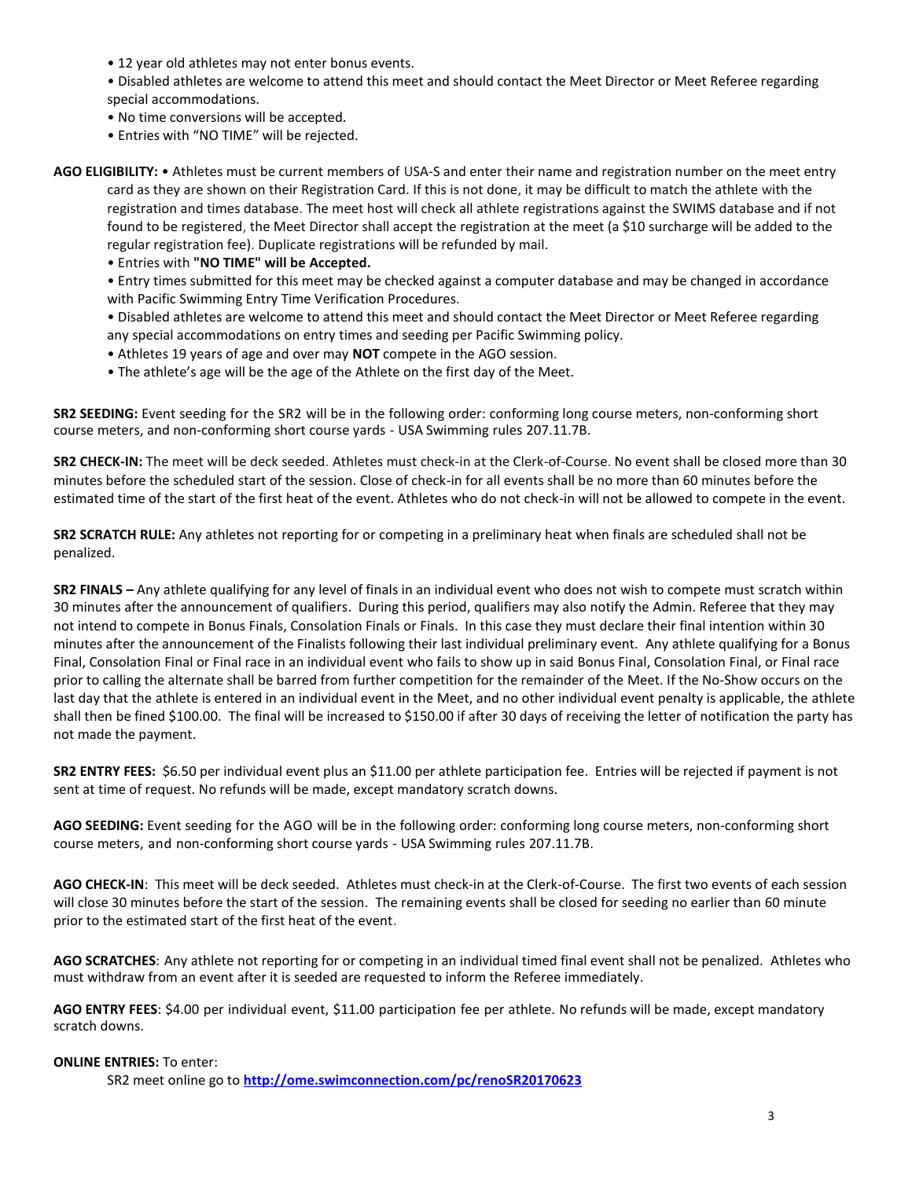• 12 year old athletes may not enter bonus events.

• Disabled athletes are welcome to attend this meet and should contact the Meet Director or Meet Referee regarding special accommodations.

- No time conversions will be accepted.
- Entries with "NO TIME" will be rejected.

**AGO ELIGIBILITY:** • Athletes must be current members of USA-S and enter their name and registration number on the meet entry card as they are shown on their Registration Card. If this is not done, it may be difficult to match the athlete with the registration and times database. The meet host will check all athlete registrations against the SWIMS database and if not found to be registered, the Meet Director shall accept the registration at the meet (a \$10 surcharge will be added to the regular registration fee). Duplicate registrations will be refunded by mail.

• Entries with **"NO TIME" will be Accepted.**

• Entry times submitted for this meet may be checked against a computer database and may be changed in accordance with Pacific Swimming Entry Time Verification Procedures.

• Disabled athletes are welcome to attend this meet and should contact the Meet Director or Meet Referee regarding any special accommodations on entry times and seeding per Pacific Swimming policy.

- Athletes 19 years of age and over may **NOT** compete in the AGO session.
- The athlete's age will be the age of the Athlete on the first day of the Meet.

**SR2 SEEDING:** Event seeding for the SR2 will be in the following order: conforming long course meters, non-conforming short course meters, and non-conforming short course yards - USA Swimming rules 207.11.7B.

**SR2 CHECK-IN:** The meet will be deck seeded. Athletes must check-in at the Clerk-of-Course. No event shall be closed more than 30 minutes before the scheduled start of the session. Close of check‐in for all events shall be no more than 60 minutes before the estimated time of the start of the first heat of the event. Athletes who do not check-in will not be allowed to compete in the event.

**SR2 SCRATCH RULE:** Any athletes not reporting for or competing in a preliminary heat when finals are scheduled shall not be penalized.

**SR2 FINALS –** Any athlete qualifying for any level of finals in an individual event who does not wish to compete must scratch within 30 minutes after the announcement of qualifiers. During this period, qualifiers may also notify the Admin. Referee that they may not intend to compete in Bonus Finals, Consolation Finals or Finals. In this case they must declare their final intention within 30 minutes after the announcement of the Finalists following their last individual preliminary event. Any athlete qualifying for a Bonus Final, Consolation Final or Final race in an individual event who fails to show up in said Bonus Final, Consolation Final, or Final race prior to calling the alternate shall be barred from further competition for the remainder of the Meet. If the No-Show occurs on the last day that the athlete is entered in an individual event in the Meet, and no other individual event penalty is applicable, the athlete shall then be fined \$100.00. The final will be increased to \$150.00 if after 30 days of receiving the letter of notification the party has not made the payment.

**SR2 ENTRY FEES:** \$6.50 per individual event plus an \$11.00 per athlete participation fee. Entries will be rejected if payment is not sent at time of request. No refunds will be made, except mandatory scratch downs.

**AGO SEEDING:** Event seeding for the AGO will be in the following order: conforming long course meters, non-conforming short course meters, and non-conforming short course yards - USA Swimming rules 207.11.7B.

**AGO CHECK-IN**: This meet will be deck seeded. Athletes must check-in at the Clerk-of-Course. The first two events of each session will close 30 minutes before the start of the session. The remaining events shall be closed for seeding no earlier than 60 minute prior to the estimated start of the first heat of the event.

**AGO SCRATCHES**: Any athlete not reporting for or competing in an individual timed final event shall not be penalized. Athletes who must withdraw from an event after it is seeded are requested to inform the Referee immediately.

**AGO ENTRY FEES**: \$4.00 per individual event, \$11.00 participation fee per athlete. No refunds will be made, except mandatory scratch downs.

#### **ONLINE ENTRIES:** To enter:

SR2 meet online go to **<http://ome.swimconnection.com/pc/renoSR20170623>**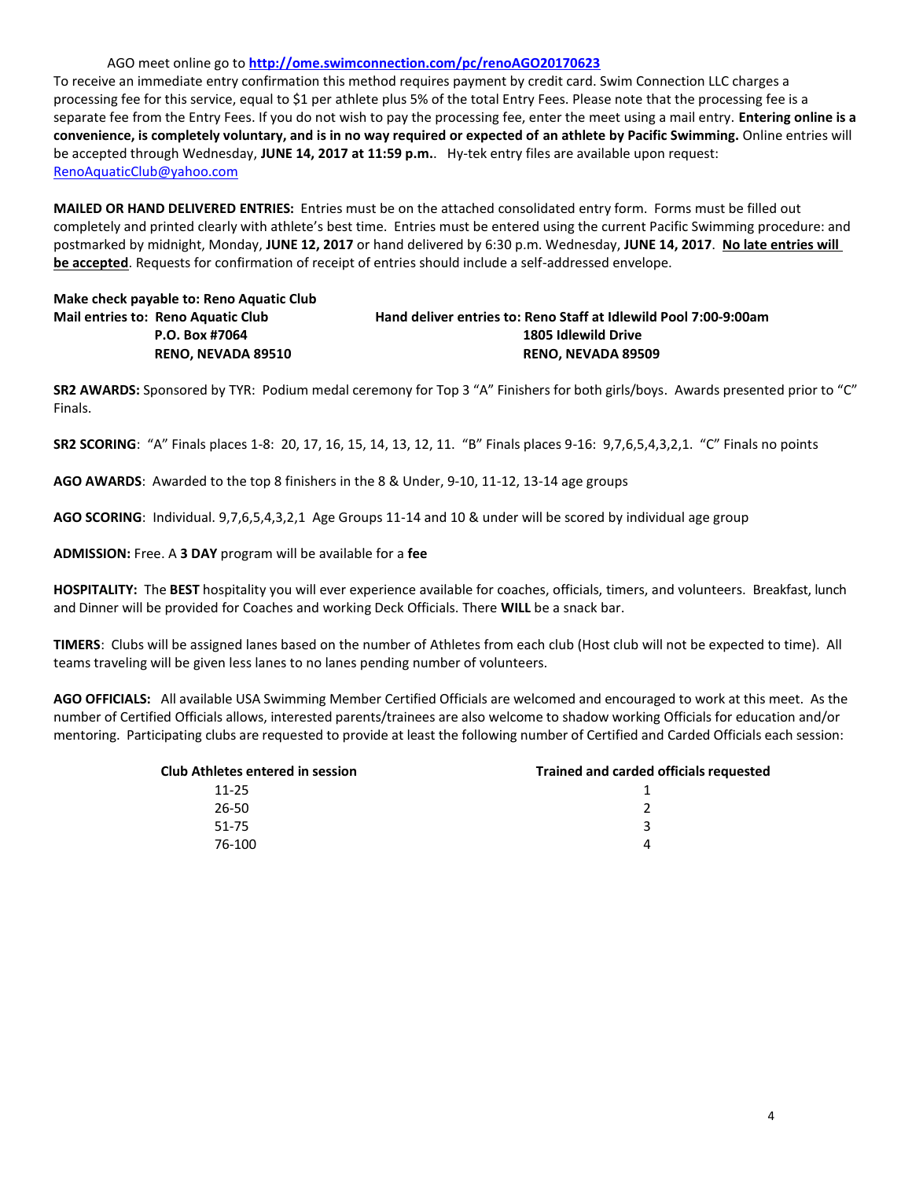#### AGO meet online go to **<http://ome.swimconnection.com/pc/renoAGO20170623>**

To receive an immediate entry confirmation this method requires payment by credit card. Swim Connection LLC charges a processing fee for this service, equal to \$1 per athlete plus 5% of the total Entry Fees. Please note that the processing fee is a separate fee from the Entry Fees. If you do not wish to pay the processing fee, enter the meet using a mail entry. **Entering online is a convenience, is completely voluntary, and is in no way required or expected of an athlete by Pacific Swimming.** Online entries will be accepted through Wednesday, **JUNE 14, 2017 at 11:59 p.m.**. Hy-tek entry files are available upon request: [RenoAquaticClub@yahoo.com](mailto:RenoAquaticClub@yahoo.com)

**MAILED OR HAND DELIVERED ENTRIES:** Entries must be on the attached consolidated entry form. Forms must be filled out completely and printed clearly with athlete's best time. Entries must be entered using the current Pacific Swimming procedure: and postmarked by midnight, Monday, **JUNE 12, 2017** or hand delivered by 6:30 p.m. Wednesday, **JUNE 14, 2017**. **No late entries will be accepted**. Requests for confirmation of receipt of entries should include a self-addressed envelope.

# **Make check payable to: Reno Aquatic Club**

**Mail entries to: Reno Aquatic Club Hand deliver entries to: Reno Staff at Idlewild Pool 7:00-9:00am P.O. Box #7064 1805 Idlewild Drive RENO, NEVADA 89510 RENO, NEVADA 89509**

**SR2 AWARDS:** Sponsored by TYR: Podium medal ceremony for Top 3 "A" Finishers for both girls/boys. Awards presented prior to "C" Finals.

**SR2 SCORING**: "A" Finals places 1-8: 20, 17, 16, 15, 14, 13, 12, 11. "B" Finals places 9-16: 9,7,6,5,4,3,2,1. "C" Finals no points

**AGO AWARDS**: Awarded to the top 8 finishers in the 8 & Under, 9-10, 11-12, 13-14 age groups

**AGO SCORING**: Individual. 9,7,6,5,4,3,2,1 Age Groups 11-14 and 10 & under will be scored by individual age group

**ADMISSION:** Free. A **3 DAY** program will be available for a **fee**

**HOSPITALITY:** The **BEST** hospitality you will ever experience available for coaches, officials, timers, and volunteers. Breakfast, lunch and Dinner will be provided for Coaches and working Deck Officials. There **WILL** be a snack bar.

**TIMERS**: Clubs will be assigned lanes based on the number of Athletes from each club (Host club will not be expected to time). All teams traveling will be given less lanes to no lanes pending number of volunteers.

**AGO OFFICIALS:** All available USA Swimming Member Certified Officials are welcomed and encouraged to work at this meet. As the number of Certified Officials allows, interested parents/trainees are also welcome to shadow working Officials for education and/or mentoring. Participating clubs are requested to provide at least the following number of Certified and Carded Officials each session:

| <b>Club Athletes entered in session</b> | <b>Trained and carded officials requested</b> |
|-----------------------------------------|-----------------------------------------------|
| $11 - 25$                               |                                               |
| 26-50                                   |                                               |
| 51-75                                   | ર                                             |
| 76-100                                  |                                               |
|                                         |                                               |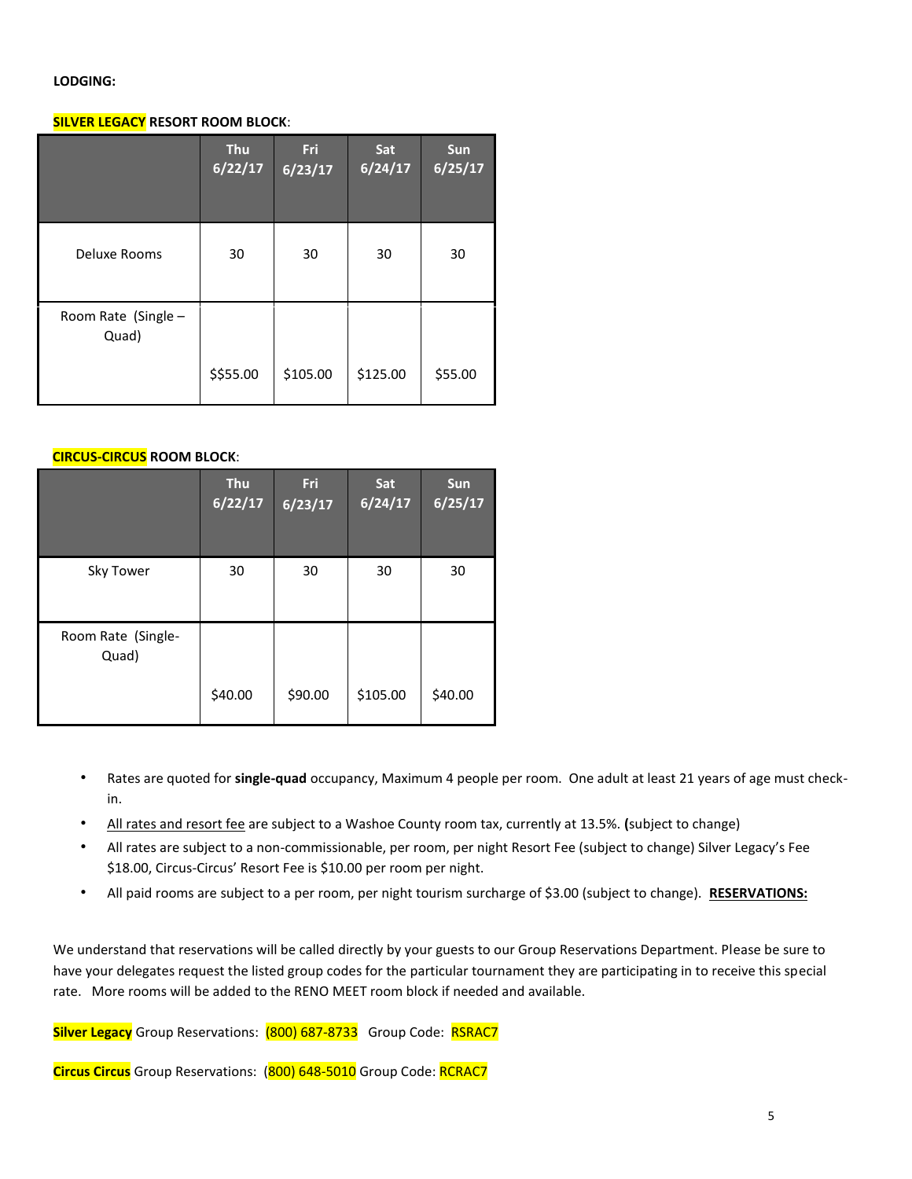#### **LODGING:**

## **SILVER LEGACY RESORT ROOM BLOCK**:

|                              | <b>Thu</b><br>6/22/17 | Fri<br>6/23/17 | Sat<br>6/24/17 | <b>Sun</b><br>6/25/17 |
|------------------------------|-----------------------|----------------|----------------|-----------------------|
| Deluxe Rooms                 | 30                    | 30             | 30             | 30                    |
| Room Rate (Single -<br>Quad) |                       |                |                |                       |
|                              | \$\$55.00             | \$105.00       | \$125.00       | \$55.00               |

#### **CIRCUS-CIRCUS ROOM BLOCK**:

|                             | <b>Thu</b><br>6/22/17 | <b>Fri</b><br>6/23/17 | Sat<br>6/24/17 | <b>Sun</b><br>6/25/17 |
|-----------------------------|-----------------------|-----------------------|----------------|-----------------------|
| Sky Tower                   | 30                    | 30                    | 30             | 30                    |
| Room Rate (Single-<br>Quad) | \$40.00               | \$90.00               | \$105.00       | \$40.00               |

- Rates are quoted for **single-quad** occupancy, Maximum 4 people per room. One adult at least 21 years of age must checkin.
- All rates and resort fee are subject to a Washoe County room tax, currently at 13.5%. **(**subject to change)
- All rates are subject to a non-commissionable, per room, per night Resort Fee (subject to change) Silver Legacy's Fee \$18.00, Circus-Circus' Resort Fee is \$10.00 per room per night.
- All paid rooms are subject to a per room, per night tourism surcharge of \$3.00 (subject to change). **RESERVATIONS:**

We understand that reservations will be called directly by your guests to our Group Reservations Department. Please be sure to have your delegates request the listed group codes for the particular tournament they are participating in to receive this special rate. More rooms will be added to the RENO MEET room block if needed and available.

**Silver Legacy** Group Reservations: (800) 687-8733 Group Code: RSRAC7

**Circus Circus** Group Reservations: (800) 648-5010 Group Code: RCRAC7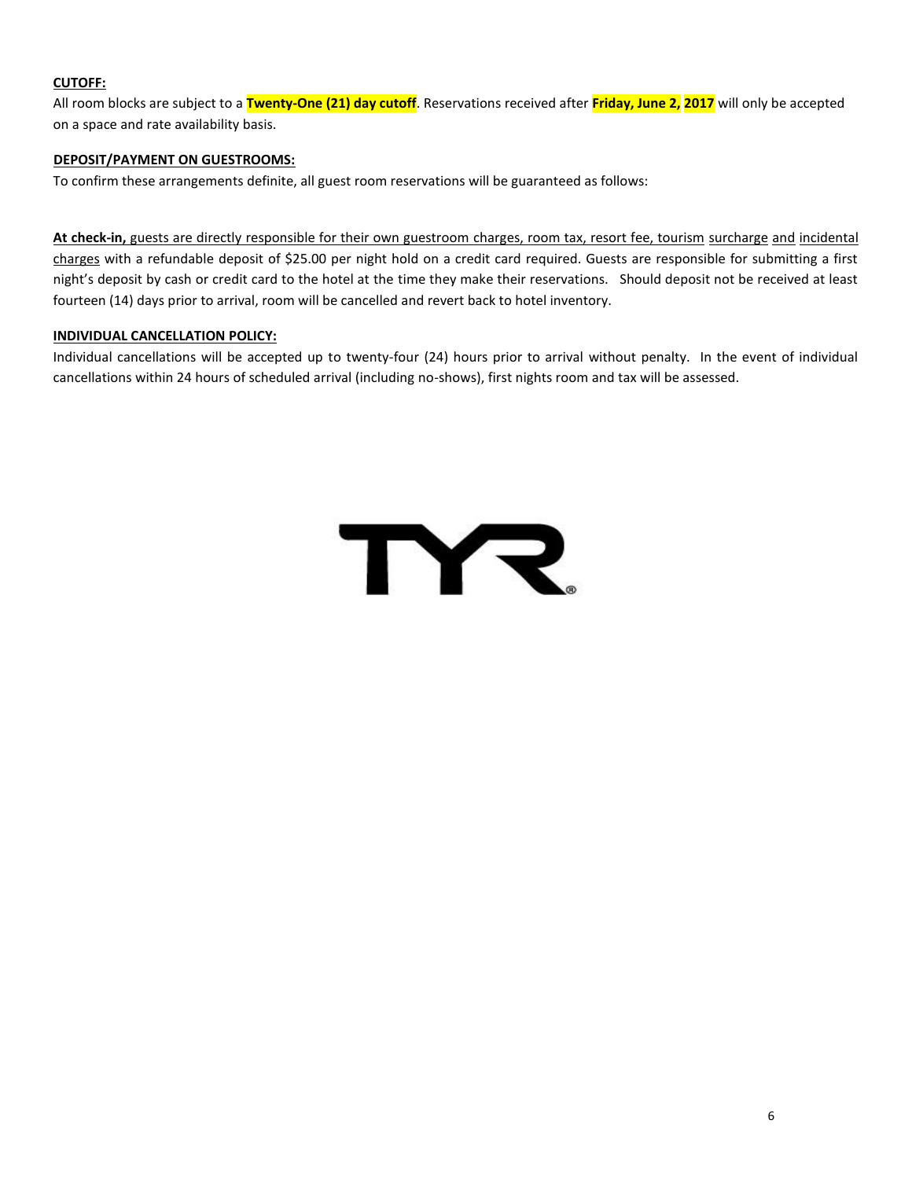## **CUTOFF:**

All room blocks are subject to a **Twenty-One (21) day cutoff**. Reservations received after **Friday, June 2, 2017** will only be accepted on a space and rate availability basis.

## **DEPOSIT/PAYMENT ON GUESTROOMS:**

To confirm these arrangements definite, all guest room reservations will be guaranteed as follows:

**At check-in,** guests are directly responsible for their own guestroom charges, room tax, resort fee, tourism surcharge and incidental charges with a refundable deposit of \$25.00 per night hold on a credit card required. Guests are responsible for submitting a first night's deposit by cash or credit card to the hotel at the time they make their reservations. Should deposit not be received at least fourteen (14) days prior to arrival, room will be cancelled and revert back to hotel inventory.

## **INDIVIDUAL CANCELLATION POLICY:**

Individual cancellations will be accepted up to twenty-four (24) hours prior to arrival without penalty. In the event of individual cancellations within 24 hours of scheduled arrival (including no-shows), first nights room and tax will be assessed.

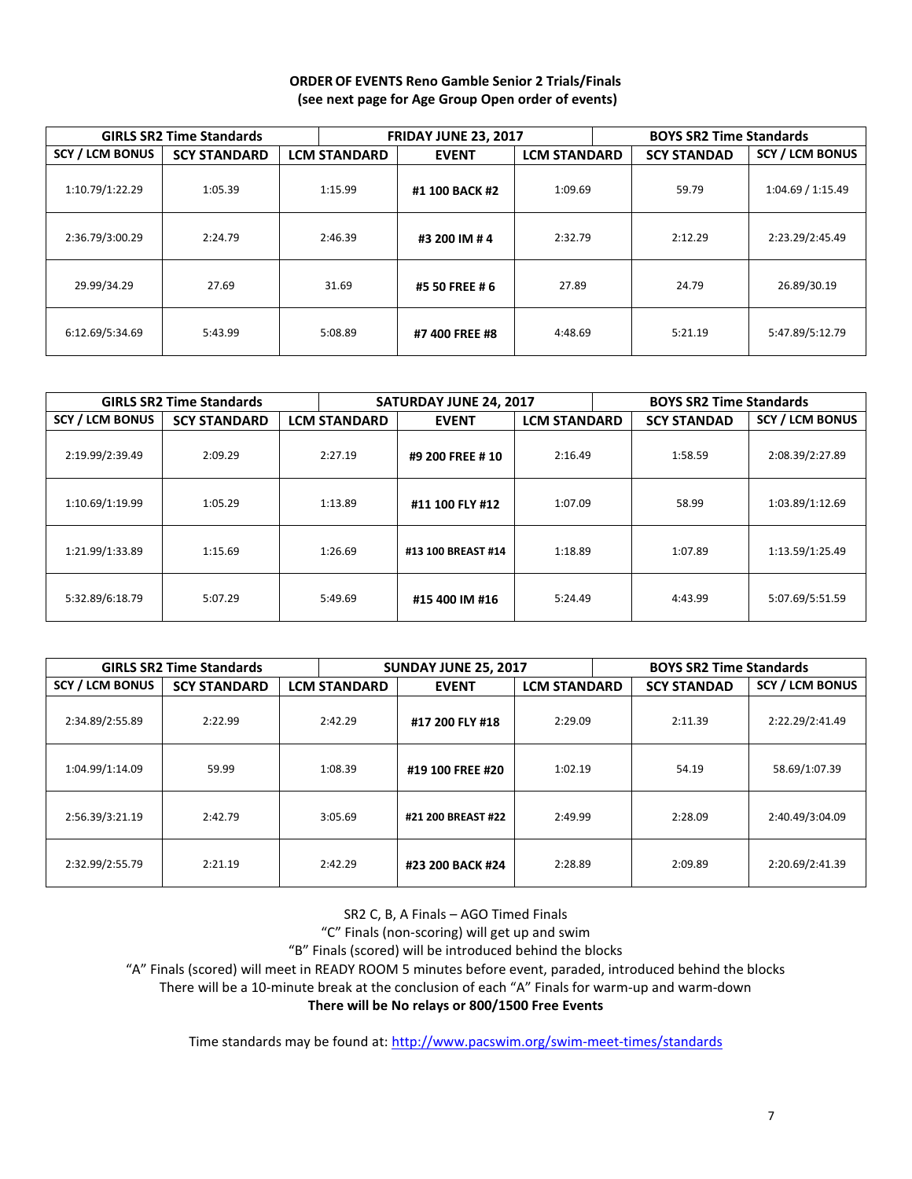### **ORDER OF EVENTS Reno Gamble Senior 2 Trials/Finals (see next page for Age Group Open order of events)**

|                        | <b>GIRLS SR2 Time Standards</b> |                     | <b>FRIDAY JUNE 23, 2017</b> |         | <b>BOYS SR2 Time Standards</b>            |         |                        |  |
|------------------------|---------------------------------|---------------------|-----------------------------|---------|-------------------------------------------|---------|------------------------|--|
| <b>SCY / LCM BONUS</b> | <b>SCY STANDARD</b>             | <b>LCM STANDARD</b> | <b>EVENT</b>                |         | <b>LCM STANDARD</b><br><b>SCY STANDAD</b> |         | <b>SCY / LCM BONUS</b> |  |
| 1:10.79/1:22.29        | 1:05.39                         | 1:15.99             | #1 100 BACK #2              | 1:09.69 |                                           | 59.79   | 1:04.69 / 1:15.49      |  |
| 2:36.79/3:00.29        | 2:24.79                         | 2:46.39             | #3 200 IM # 4               | 2:32.79 |                                           | 2:12.29 | 2:23.29/2:45.49        |  |
| 29.99/34.29            | 27.69                           | 31.69               | #5 50 FREE # 6              | 27.89   |                                           | 24.79   | 26.89/30.19            |  |
| 6:12.69/5:34.69        | 5:43.99                         | 5:08.89             | #7 400 FREE #8              | 4:48.69 |                                           | 5:21.19 | 5:47.89/5:12.79        |  |

|                        | <b>GIRLS SR2 Time Standards</b> |                     | <b>SATURDAY JUNE 24, 2017</b>       |         | <b>BOYS SR2 Time Standards</b> |                    |                        |  |
|------------------------|---------------------------------|---------------------|-------------------------------------|---------|--------------------------------|--------------------|------------------------|--|
| <b>SCY / LCM BONUS</b> | <b>SCY STANDARD</b>             | <b>LCM STANDARD</b> | <b>LCM STANDARD</b><br><b>EVENT</b> |         |                                | <b>SCY STANDAD</b> | <b>SCY / LCM BONUS</b> |  |
| 2:19.99/2:39.49        | 2:09.29                         | 2:27.19             | #9 200 FREE # 10                    | 2:16.49 |                                | 1:58.59            | 2:08.39/2:27.89        |  |
| 1:10.69/1:19.99        | 1:05.29                         | 1:13.89             | #11 100 FLY #12                     | 1:07.09 |                                | 58.99              | 1:03.89/1:12.69        |  |
| 1:21.99/1:33.89        | 1:15.69                         | 1:26.69             | #13 100 BREAST #14                  | 1:18.89 |                                | 1:07.89            | 1:13.59/1:25.49        |  |
| 5:32.89/6:18.79        | 5:07.29                         | 5:49.69             | #15 400 IM #16                      | 5:24.49 |                                | 4:43.99            | 5:07.69/5:51.59        |  |

|                        | <b>GIRLS SR2 Time Standards</b> |                     | <b>SUNDAY JUNE 25, 2017</b>         |         | <b>BOYS SR2 Time Standards</b> |         |                        |  |  |  |                 |
|------------------------|---------------------------------|---------------------|-------------------------------------|---------|--------------------------------|---------|------------------------|--|--|--|-----------------|
| <b>SCY / LCM BONUS</b> | <b>SCY STANDARD</b>             | <b>LCM STANDARD</b> | <b>LCM STANDARD</b><br><b>EVENT</b> |         | <b>SCY STANDAD</b>             |         | <b>SCY / LCM BONUS</b> |  |  |  |                 |
| 2:34.89/2:55.89        | 2:22.99                         | 2:42.29             | #17 200 FLY #18                     |         | 2:29.09                        |         | 2:11.39                |  |  |  | 2:22.29/2:41.49 |
| 1:04.99/1:14.09        | 59.99                           | 1:08.39             | #19 100 FREE #20                    | 1:02.19 |                                | 54.19   | 58.69/1:07.39          |  |  |  |                 |
| 2:56.39/3:21.19        | 2:42.79                         | 3:05.69             | #21 200 BREAST #22                  | 2:49.99 |                                | 2:28.09 | 2:40.49/3:04.09        |  |  |  |                 |
| 2:32.99/2:55.79        | 2:21.19                         | 2:42.29             | #23 200 BACK #24                    | 2:28.89 |                                | 2:09.89 | 2:20.69/2:41.39        |  |  |  |                 |

SR2 C, B, A Finals – AGO Timed Finals

"C" Finals (non-scoring) will get up and swim

"B" Finals (scored) will be introduced behind the blocks

"A" Finals (scored) will meet in READY ROOM 5 minutes before event, paraded, introduced behind the blocks

There will be a 10-minute break at the conclusion of each "A" Finals for warm-up and warm-down

**There will be No relays or 800/1500 Free Events**

Time standards may be found at:<http://www.pacswim.org/swim-meet-times/standards>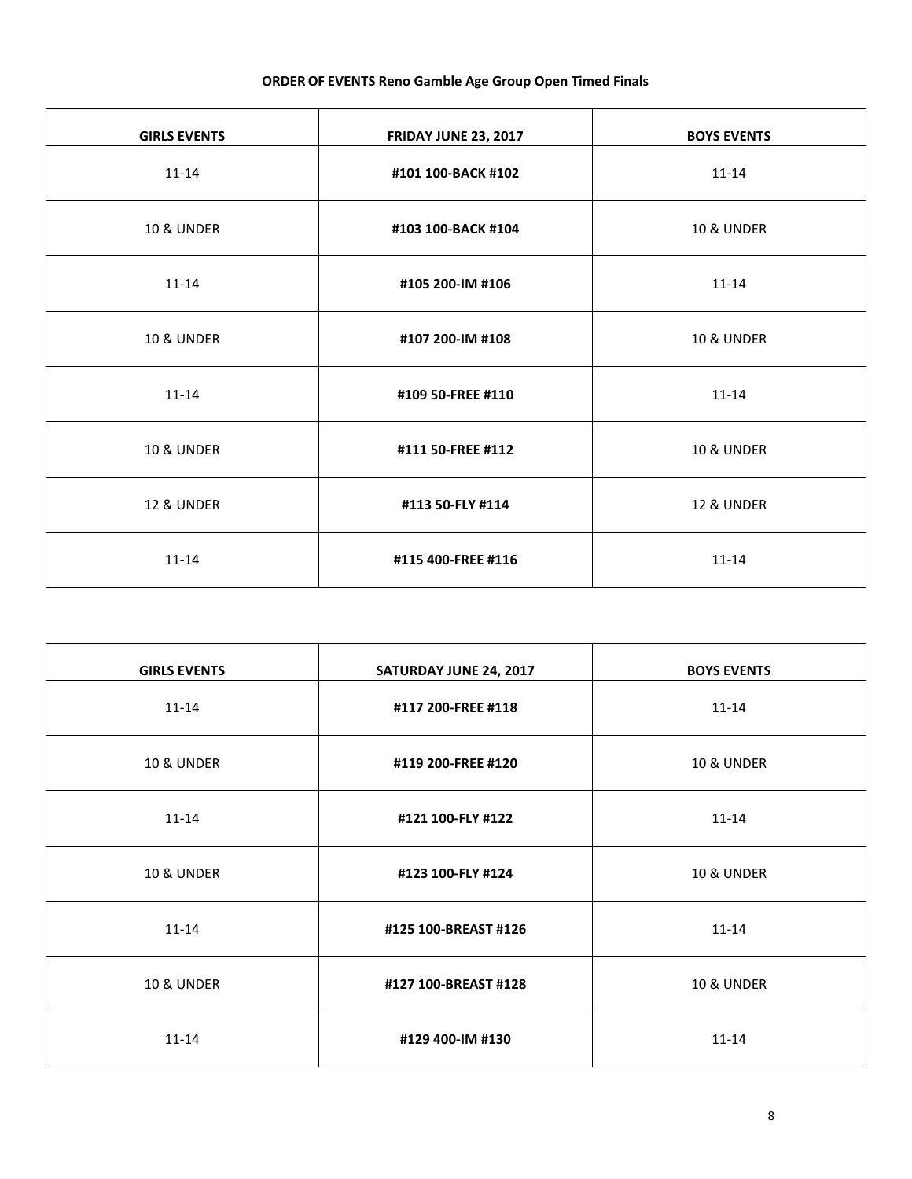## **ORDER OF EVENTS Reno Gamble Age Group Open Timed Finals**

| <b>GIRLS EVENTS</b>   | <b>FRIDAY JUNE 23, 2017</b> | <b>BOYS EVENTS</b>    |
|-----------------------|-----------------------------|-----------------------|
| $11 - 14$             | #101 100-BACK #102          | $11 - 14$             |
| <b>10 &amp; UNDER</b> | #103 100-BACK #104          | <b>10 &amp; UNDER</b> |
| $11 - 14$             | #105 200-IM #106            | $11 - 14$             |
| <b>10 &amp; UNDER</b> | #107 200-IM #108            | <b>10 &amp; UNDER</b> |
| $11 - 14$             | #109 50-FREE #110           | $11 - 14$             |
| <b>10 &amp; UNDER</b> | #111 50-FREE #112           | <b>10 &amp; UNDER</b> |
| <b>12 &amp; UNDER</b> | #113 50-FLY #114            | <b>12 &amp; UNDER</b> |
| $11 - 14$             | #115 400-FREE #116          | $11 - 14$             |

| <b>GIRLS EVENTS</b>   | SATURDAY JUNE 24, 2017 | <b>BOYS EVENTS</b>    |
|-----------------------|------------------------|-----------------------|
| $11 - 14$             | #117 200-FREE #118     | $11 - 14$             |
| <b>10 &amp; UNDER</b> | #119 200-FREE #120     | <b>10 &amp; UNDER</b> |
| $11 - 14$             | #121 100-FLY #122      | $11 - 14$             |
| <b>10 &amp; UNDER</b> | #123 100-FLY #124      | <b>10 &amp; UNDER</b> |
| $11 - 14$             | #125 100-BREAST #126   | $11 - 14$             |
| <b>10 &amp; UNDER</b> | #127 100-BREAST #128   | <b>10 &amp; UNDER</b> |
| $11 - 14$             | #129 400-IM #130       | $11 - 14$             |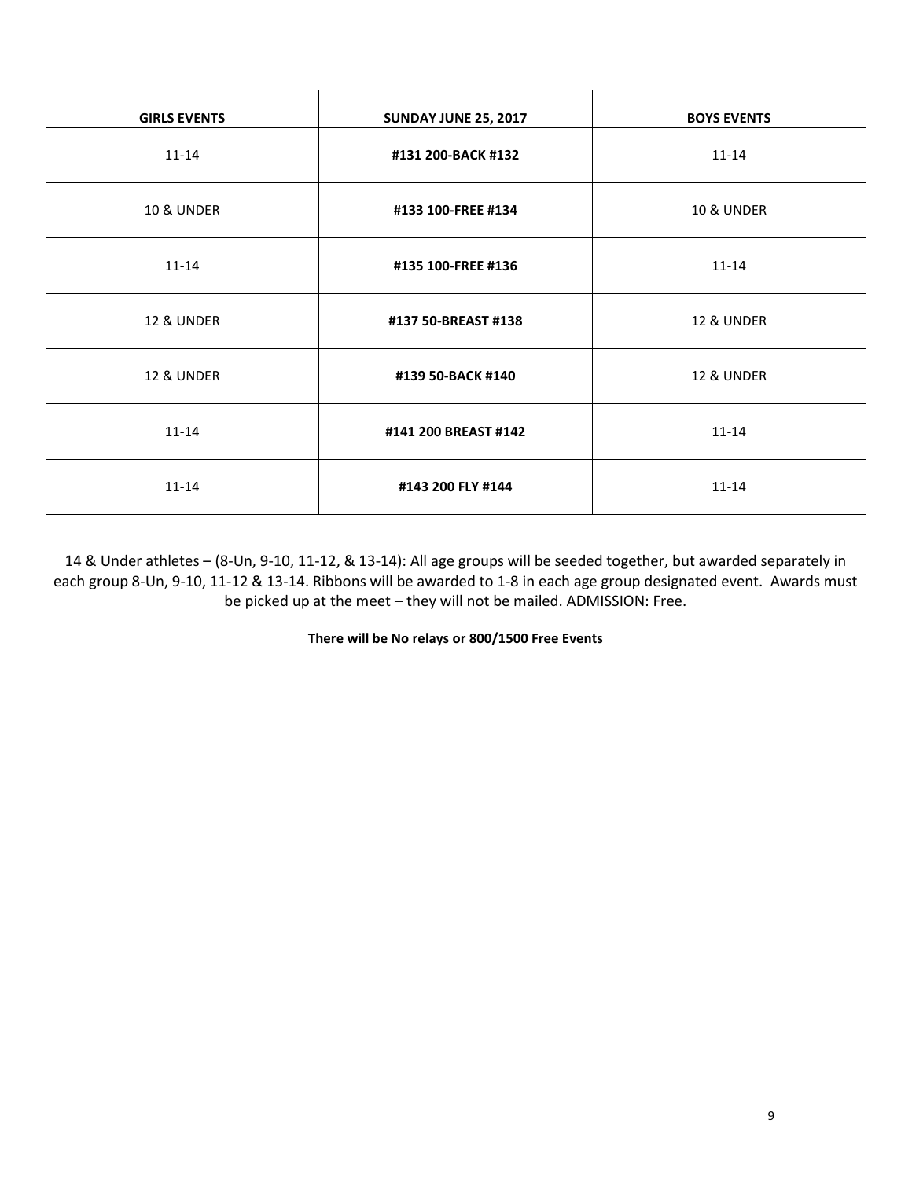| <b>GIRLS EVENTS</b>   | <b>SUNDAY JUNE 25, 2017</b> | <b>BOYS EVENTS</b>    |
|-----------------------|-----------------------------|-----------------------|
| $11 - 14$             | #131 200-BACK #132          | $11 - 14$             |
| <b>10 &amp; UNDER</b> | #133 100-FREE #134          | <b>10 &amp; UNDER</b> |
| $11 - 14$             | #135 100-FREE #136          | $11 - 14$             |
| <b>12 &amp; UNDER</b> | #137 50-BREAST #138         | <b>12 &amp; UNDER</b> |
| <b>12 &amp; UNDER</b> | #139 50-BACK #140           | <b>12 &amp; UNDER</b> |
| $11 - 14$             | #141 200 BREAST #142        | $11 - 14$             |
| $11 - 14$             | #143 200 FLY #144           | $11 - 14$             |

14 & Under athletes – (8-Un, 9-10, 11-12, & 13-14): All age groups will be seeded together, but awarded separately in each group 8-Un, 9-10, 11-12 & 13-14. Ribbons will be awarded to 1-8 in each age group designated event. Awards must be picked up at the meet – they will not be mailed. ADMISSION: Free.

**There will be No relays or 800/1500 Free Events**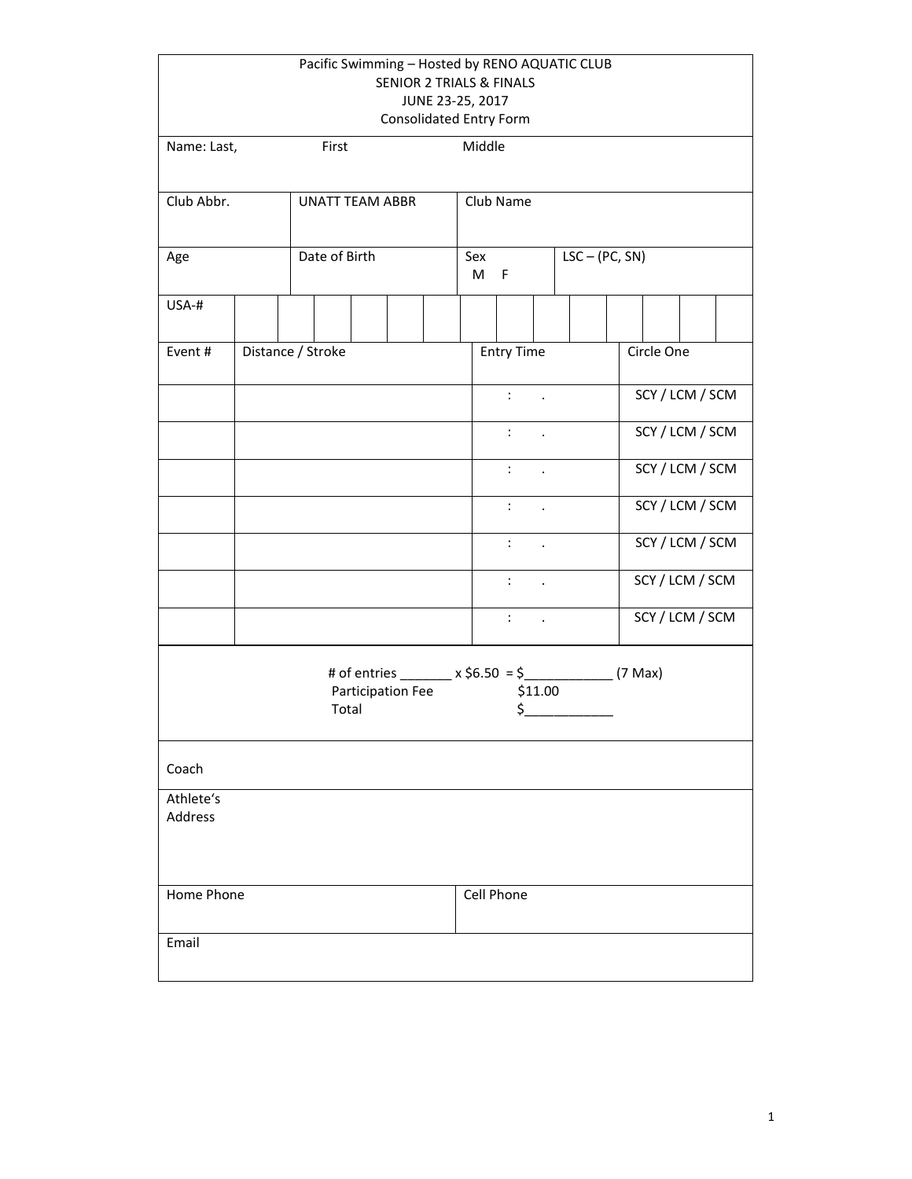|                      | Pacific Swimming - Hosted by RENO AQUATIC CLUB<br><b>SENIOR 2 TRIALS &amp; FINALS</b><br>JUNE 23-25, 2017<br><b>Consolidated Entry Form</b> |                        |                            |  |  |             |                      |         |                                                             |                 |  |
|----------------------|---------------------------------------------------------------------------------------------------------------------------------------------|------------------------|----------------------------|--|--|-------------|----------------------|---------|-------------------------------------------------------------|-----------------|--|
| Name: Last,          |                                                                                                                                             | First                  |                            |  |  | Middle      |                      |         |                                                             |                 |  |
| Club Abbr.           |                                                                                                                                             | <b>UNATT TEAM ABBR</b> |                            |  |  |             | Club Name            |         |                                                             |                 |  |
| Age                  |                                                                                                                                             | Date of Birth          |                            |  |  | Sex<br>M    | F                    |         | $LSC - (PC, SN)$                                            |                 |  |
| USA-#                |                                                                                                                                             |                        |                            |  |  |             |                      |         |                                                             |                 |  |
| Event#               |                                                                                                                                             | Distance / Stroke      |                            |  |  |             | <b>Entry Time</b>    |         |                                                             | Circle One      |  |
|                      |                                                                                                                                             |                        |                            |  |  |             | $10\%$ $\sim$        |         |                                                             | SCY / LCM / SCM |  |
|                      |                                                                                                                                             |                        |                            |  |  | $1.0\pm1.0$ |                      |         | SCY / LCM / SCM                                             |                 |  |
|                      |                                                                                                                                             |                        |                            |  |  |             | $1.00\pm1.1$         |         |                                                             | SCY / LCM / SCM |  |
|                      |                                                                                                                                             |                        |                            |  |  |             | $\ddot{\cdot}$       |         |                                                             | SCY / LCM / SCM |  |
|                      |                                                                                                                                             |                        |                            |  |  |             | $\ddot{\cdot}$       |         |                                                             | SCY / LCM / SCM |  |
|                      |                                                                                                                                             |                        |                            |  |  |             | $\ddot{\phantom{a}}$ | $\sim$  |                                                             | SCY / LCM / SCM |  |
|                      |                                                                                                                                             |                        |                            |  |  |             | $1\leq i\leq 1$      |         |                                                             | SCY / LCM / SCM |  |
|                      |                                                                                                                                             |                        | Participation Fee<br>Total |  |  |             | \$.                  | \$11.00 | # of entries ________ x \$6.50 = \$________________ (7 Max) |                 |  |
| Coach                |                                                                                                                                             |                        |                            |  |  |             |                      |         |                                                             |                 |  |
| Athlete's<br>Address |                                                                                                                                             |                        |                            |  |  |             |                      |         |                                                             |                 |  |
| Home Phone           |                                                                                                                                             |                        |                            |  |  |             | Cell Phone           |         |                                                             |                 |  |
| Email                |                                                                                                                                             |                        |                            |  |  |             |                      |         |                                                             |                 |  |